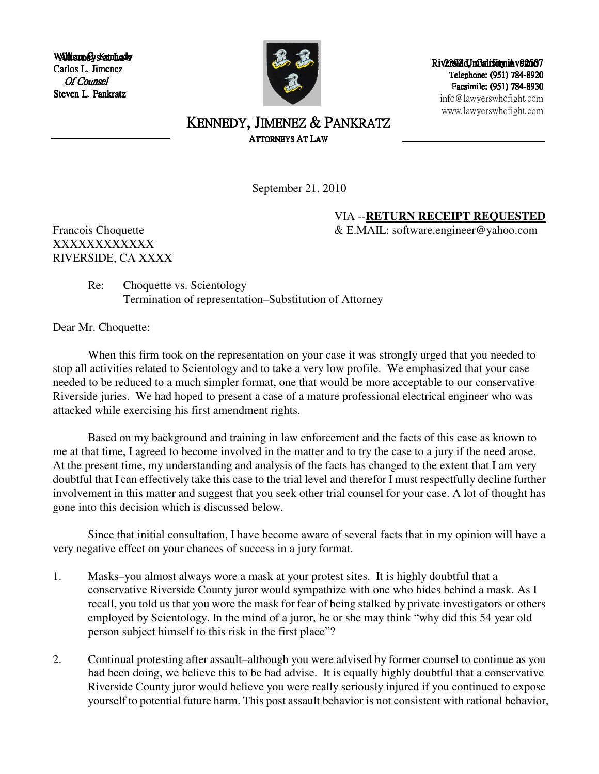WAltiam CysKannedy Carlos L. Jimenez Of Counsel Steven L. Pankratz



Riv2392dJnOatifornia v92507 Telephone: (951) 784-8920 Facsimile: (951) 784-8930 info@lawyerswhofight.com www.lawyerswhofight.com

## KENNEDY, JIMENEZ & PANKRATZ ATTORNEYS AT LAW

September 21, 2010

VIA --**RETURN RECEIPT REQUESTED**

Francois Choquette  $\&$  E.MAIL: software.engineer@yahoo.com

XXXXXXXXXXXX RIVERSIDE, CA XXXX

> Re: Choquette vs. Scientology Termination of representation–Substitution of Attorney

Dear Mr. Choquette:

When this firm took on the representation on your case it was strongly urged that you needed to stop all activities related to Scientology and to take a very low profile. We emphasized that your case needed to be reduced to a much simpler format, one that would be more acceptable to our conservative Riverside juries. We had hoped to present a case of a mature professional electrical engineer who was attacked while exercising his first amendment rights.

Based on my background and training in law enforcement and the facts of this case as known to me at that time, I agreed to become involved in the matter and to try the case to a jury if the need arose. At the present time, my understanding and analysis of the facts has changed to the extent that I am very doubtful that I can effectively take this case to the trial level and therefor I must respectfully decline further involvement in this matter and suggest that you seek other trial counsel for your case. A lot of thought has gone into this decision which is discussed below.

Since that initial consultation, I have become aware of several facts that in my opinion will have a very negative effect on your chances of success in a jury format.

- 1. Masks–you almost always wore a mask at your protest sites. It is highly doubtful that a conservative Riverside County juror would sympathize with one who hides behind a mask. As I recall, you told us that you wore the mask for fear of being stalked by private investigators or others employed by Scientology. In the mind of a juror, he or she may think "why did this 54 year old person subject himself to this risk in the first place"?
- 2. Continual protesting after assault–although you were advised by former counsel to continue as you had been doing, we believe this to be bad advise. It is equally highly doubtful that a conservative Riverside County juror would believe you were really seriously injured if you continued to expose yourself to potential future harm. This post assault behavior is not consistent with rational behavior,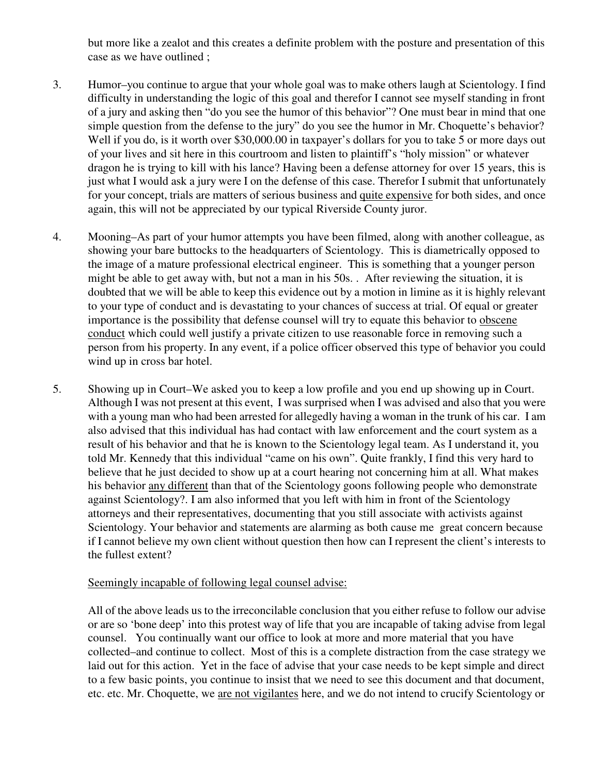but more like a zealot and this creates a definite problem with the posture and presentation of this case as we have outlined ;

- 3. Humor–you continue to argue that your whole goal was to make others laugh at Scientology. I find difficulty in understanding the logic of this goal and therefor I cannot see myself standing in front of a jury and asking then "do you see the humor of this behavior"? One must bear in mind that one simple question from the defense to the jury" do you see the humor in Mr. Choquette's behavior? Well if you do, is it worth over \$30,000.00 in taxpayer's dollars for you to take 5 or more days out of your lives and sit here in this courtroom and listen to plaintiff's "holy mission" or whatever dragon he is trying to kill with his lance? Having been a defense attorney for over 15 years, this is just what I would ask a jury were I on the defense of this case. Therefor I submit that unfortunately for your concept, trials are matters of serious business and quite expensive for both sides, and once again, this will not be appreciated by our typical Riverside County juror.
- 4. Mooning–As part of your humor attempts you have been filmed, along with another colleague, as showing your bare buttocks to the headquarters of Scientology. This is diametrically opposed to the image of a mature professional electrical engineer. This is something that a younger person might be able to get away with, but not a man in his 50s. . After reviewing the situation, it is doubted that we will be able to keep this evidence out by a motion in limine as it is highly relevant to your type of conduct and is devastating to your chances of success at trial. Of equal or greater importance is the possibility that defense counsel will try to equate this behavior to obscene conduct which could well justify a private citizen to use reasonable force in removing such a person from his property. In any event, if a police officer observed this type of behavior you could wind up in cross bar hotel.
- 5. Showing up in Court–We asked you to keep a low profile and you end up showing up in Court. Although I was not present at this event, I was surprised when I was advised and also that you were with a young man who had been arrested for allegedly having a woman in the trunk of his car. I am also advised that this individual has had contact with law enforcement and the court system as a result of his behavior and that he is known to the Scientology legal team. As I understand it, you told Mr. Kennedy that this individual "came on his own". Quite frankly, I find this very hard to believe that he just decided to show up at a court hearing not concerning him at all. What makes his behavior any different than that of the Scientology goons following people who demonstrate against Scientology?. I am also informed that you left with him in front of the Scientology attorneys and their representatives, documenting that you still associate with activists against Scientology. Your behavior and statements are alarming as both cause me great concern because if I cannot believe my own client without question then how can I represent the client's interests to the fullest extent?

## Seemingly incapable of following legal counsel advise:

All of the above leads us to the irreconcilable conclusion that you either refuse to follow our advise or are so 'bone deep' into this protest way of life that you are incapable of taking advise from legal counsel. You continually want our office to look at more and more material that you have collected–and continue to collect. Most of this is a complete distraction from the case strategy we laid out for this action. Yet in the face of advise that your case needs to be kept simple and direct to a few basic points, you continue to insist that we need to see this document and that document, etc. etc. Mr. Choquette, we are not vigilantes here, and we do not intend to crucify Scientology or